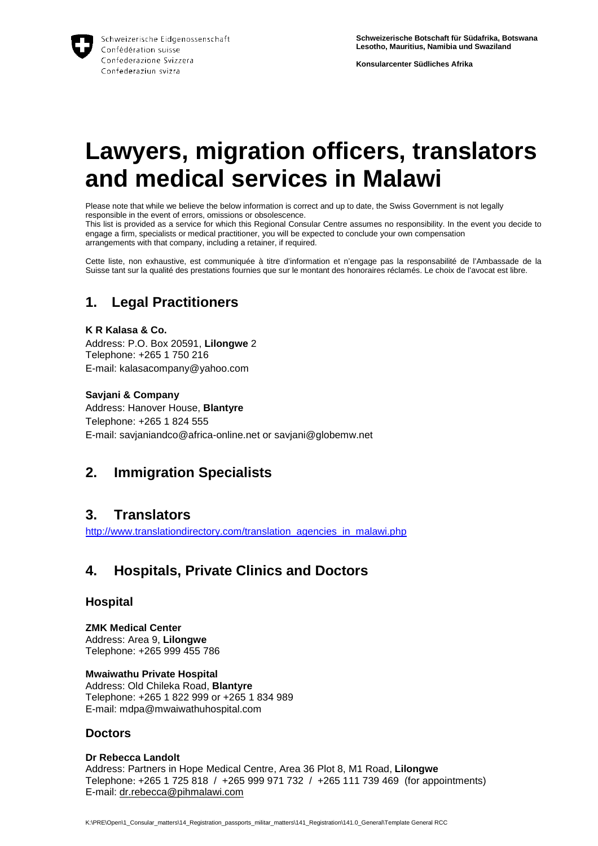

**Konsularcenter Südliches Afrika** 

# **Lawyers, migration officers, translators and medical services in Malawi**

Please note that while we believe the below information is correct and up to date, the Swiss Government is not legally responsible in the event of errors, omissions or obsolescence.

This list is provided as a service for which this Regional Consular Centre assumes no responsibility. In the event you decide to engage a firm, specialists or medical practitioner, you will be expected to conclude your own compensation arrangements with that company, including a retainer, if required.

Cette liste, non exhaustive, est communiquée à titre d'information et n'engage pas la responsabilité de l'Ambassade de la Suisse tant sur la qualité des prestations fournies que sur le montant des honoraires réclamés. Le choix de l'avocat est libre.

## **1. Legal Practitioners**

**K R Kalasa & Co.**  Address: P.O. Box 20591, **Lilongwe** 2 Telephone: +265 1 750 216 E-mail: kalasacompany@yahoo.com

#### **Savjani & Company**

Address: Hanover House, **Blantyre** Telephone: +265 1 824 555 E-mail: savjaniandco@africa-online.net or savjani@globemw.net

## **2. Immigration Specialists**

### **3. Translators**

http://www.translationdirectory.com/translation\_agencies\_in\_malawi.php

## **4. Hospitals, Private Clinics and Doctors**

#### **Hospital**

**ZMK Medical Center**  Address: Area 9, **Lilongwe** Telephone: +265 999 455 786

**Mwaiwathu Private Hospital**  Address: Old Chileka Road, **Blantyre** Telephone: +265 1 822 999 or +265 1 834 989 E-mail: mdpa@mwaiwathuhospital.com

#### **Doctors**

#### **Dr Rebecca Landolt**

Address: Partners in Hope Medical Centre, Area 36 Plot 8, M1 Road, **Lilongwe** Telephone: +265 1 725 818 / +265 999 971 732 / +265 111 739 469 (for appointments) E-mail: dr.rebecca@pihmalawi.com